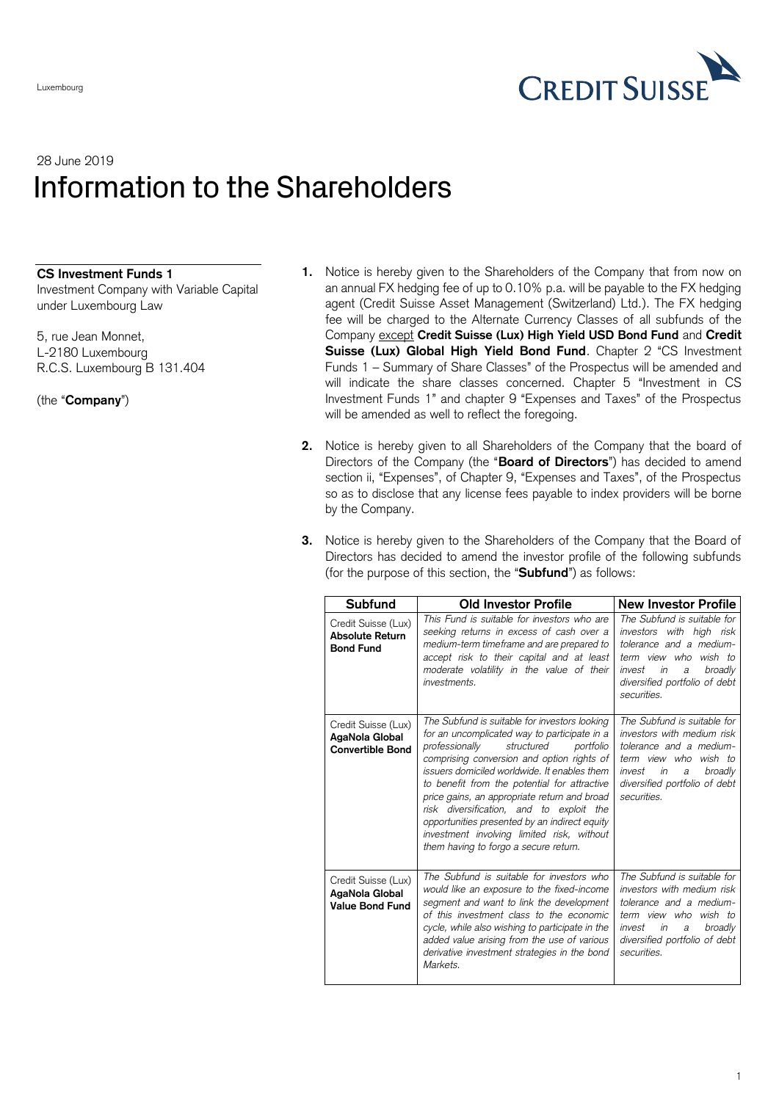

## 28 June 2019 Information to the Shareholders

## **CS Investment Funds 1**

Investment Company with Variable Capital under Luxembourg Law

5, rue Jean Monnet, L-2180 Luxembourg R.C.S. Luxembourg B 131.404

(the "**Company**")

- **1.** Notice is hereby given to the Shareholders of the Company that from now on an annual FX hedging fee of up to 0.10% p.a. will be payable to the FX hedging agent (Credit Suisse Asset Management (Switzerland) Ltd.). The FX hedging fee will be charged to the Alternate Currency Classes of all subfunds of the Company except **Credit Suisse (Lux) High Yield USD Bond Fund** and **Credit Suisse (Lux) Global High Yield Bond Fund**. Chapter 2 "CS Investment Funds 1 – Summary of Share Classes" of the Prospectus will be amended and will indicate the share classes concerned. Chapter 5 "Investment in CS Investment Funds 1" and chapter 9 "Expenses and Taxes" of the Prospectus will be amended as well to reflect the foregoing.
- **2.** Notice is hereby given to all Shareholders of the Company that the board of Directors of the Company (the "**Board of Directors**") has decided to amend section ii, "Expenses", of Chapter 9, "Expenses and Taxes", of the Prospectus so as to disclose that any license fees payable to index providers will be borne by the Company.
- **3.** Notice is hereby given to the Shareholders of the Company that the Board of Directors has decided to amend the investor profile of the following subfunds (for the purpose of this section, the "**Subfund**") as follows:

| Subfund                                                           | <b>Old Investor Profile</b>                                                                                                                                                                                                                                                                                                                                                                                                                                                                                                  | New Investor Profile                                                                                                                                                                          |
|-------------------------------------------------------------------|------------------------------------------------------------------------------------------------------------------------------------------------------------------------------------------------------------------------------------------------------------------------------------------------------------------------------------------------------------------------------------------------------------------------------------------------------------------------------------------------------------------------------|-----------------------------------------------------------------------------------------------------------------------------------------------------------------------------------------------|
| Credit Suisse (Lux)<br><b>Absolute Return</b><br><b>Bond Fund</b> | This Fund is suitable for investors who are<br>seeking returns in excess of cash over a<br>medium-term timeframe and are prepared to<br>accept risk to their capital and at least<br>moderate volatility in the value of their<br>investments.                                                                                                                                                                                                                                                                               | The Subfund is suitable for<br>investors with high risk<br>tolerance and a medium-<br>term view who wish to<br>invest<br>in<br>broadly<br>a<br>diversified portfolio of debt<br>securities.   |
| Credit Suisse (Lux)<br>AgaNola Global<br><b>Convertible Bond</b>  | The Subfund is suitable for investors looking<br>for an uncomplicated way to participate in a<br>professionally<br>structured<br>portfolio<br>comprising conversion and option rights of<br>issuers domiciled worldwide. It enables them<br>to benefit from the potential for attractive<br>price gains, an appropriate return and broad<br>risk diversification, and to exploit the<br>opportunities presented by an indirect equity<br>investment involving limited risk, without<br>them having to forgo a secure return. | The Subfund is suitable for<br>investors with medium risk<br>tolerance and a medium-<br>term view who wish to<br>in<br>broadly<br>invest<br>a<br>diversified portfolio of debt<br>securities. |
| Credit Suisse (Lux)<br>AgaNola Global<br><b>Value Bond Fund</b>   | The Subfund is suitable for investors who<br>would like an exposure to the fixed-income<br>segment and want to link the development<br>of this investment class to the economic<br>cycle, while also wishing to participate in the<br>added value arising from the use of various<br>derivative investment strategies in the bond<br>Markets.                                                                                                                                                                                | The Subfund is suitable for<br>investors with medium risk<br>tolerance and a medium-<br>term view who wish to<br>invest in<br>broadly<br>a<br>diversified portfolio of debt<br>securities.    |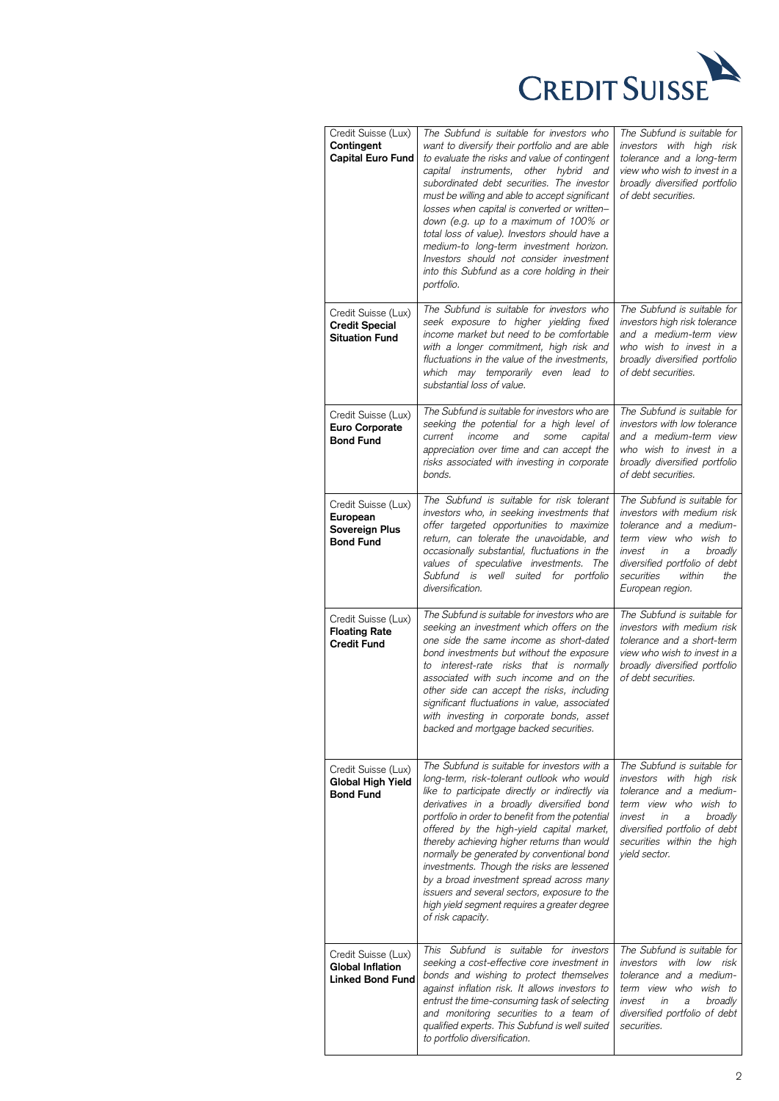

| Credit Suisse (Lux)<br>Contingent<br>Capital Euro Fund                    | The Subfund is suitable for investors who<br>want to diversify their portfolio and are able<br>to evaluate the risks and value of contingent<br>capital instruments, other hybrid and<br>subordinated debt securities. The investor<br>must be willing and able to accept significant<br>losses when capital is converted or written-<br>down (e.g. up to a maximum of 100% or<br>total loss of value). Investors should have a<br>medium-to long-term investment horizon.<br>Investors should not consider investment<br>into this Subfund as a core holding in their<br>portfolio.                   | The Subfund is suitable for<br>investors with high risk<br>tolerance and a long-term<br>view who wish to invest in a<br>broadly diversified portfolio<br>of debt securities.                                                   |
|---------------------------------------------------------------------------|--------------------------------------------------------------------------------------------------------------------------------------------------------------------------------------------------------------------------------------------------------------------------------------------------------------------------------------------------------------------------------------------------------------------------------------------------------------------------------------------------------------------------------------------------------------------------------------------------------|--------------------------------------------------------------------------------------------------------------------------------------------------------------------------------------------------------------------------------|
| Credit Suisse (Lux)<br><b>Credit Special</b><br><b>Situation Fund</b>     | The Subfund is suitable for investors who<br>seek exposure to higher yielding fixed<br>income market but need to be comfortable<br>with a longer commitment, high risk and<br>fluctuations in the value of the investments,<br>which may temporarily even lead to<br>substantial loss of value.                                                                                                                                                                                                                                                                                                        | The Subfund is suitable for<br>investors high risk tolerance<br>and a medium-term view<br>who wish to invest in a<br>broadly diversified portfolio<br>of debt securities.                                                      |
| Credit Suisse (Lux)<br><b>Euro Corporate</b><br><b>Bond Fund</b>          | The Subfund is suitable for investors who are<br>seeking the potential for a high level of<br>income<br>and<br>current<br>some<br>capital<br>appreciation over time and can accept the<br>risks associated with investing in corporate<br>bonds.                                                                                                                                                                                                                                                                                                                                                       | The Subfund is suitable for<br>investors with low tolerance<br>and a medium-term view<br>who wish to invest in a<br>broadly diversified portfolio<br>of debt securities.                                                       |
| Credit Suisse (Lux)<br>European<br>Sovereign Plus<br><b>Bond Fund</b>     | The Subfund is suitable for risk tolerant<br>investors who, in seeking investments that<br>offer targeted opportunities to maximize<br>return, can tolerate the unavoidable, and<br>occasionally substantial, fluctuations in the<br>values of speculative investments. The<br>Subfund is well suited for portfolio<br>diversification.                                                                                                                                                                                                                                                                | The Subfund is suitable for<br>investors with medium risk<br>tolerance and a medium-<br>term view who wish to<br>invest in<br>broadly<br>a<br>diversified portfolio of debt<br>securities<br>within<br>the<br>European region. |
| Credit Suisse (Lux)<br><b>Floating Rate</b><br><b>Credit Fund</b>         | The Subfund is suitable for investors who are<br>seeking an investment which offers on the<br>one side the same income as short-dated<br>bond investments but without the exposure<br>to interest-rate risks that is normally<br>associated with such income and on the<br>other side can accept the risks, including<br>significant fluctuations in value, associated<br>with investing in corporate bonds, asset<br>backed and mortgage backed securities.                                                                                                                                           | The Subfund is suitable for<br>investors with medium risk<br>tolerance and a short-term<br>view who wish to invest in a<br>broadly diversified portfolio<br>of debt securities.                                                |
| Credit Suisse (Lux)<br>Global High Yield<br><b>Bond Fund</b>              | The Subfund is suitable for investors with a<br>long-term, risk-tolerant outlook who would<br>like to participate directly or indirectly via<br>derivatives in a broadly diversified bond<br>portfolio in order to benefit from the potential<br>offered by the high-yield capital market,<br>thereby achieving higher returns than would<br>normally be generated by conventional bond<br>investments. Though the risks are lessened<br>by a broad investment spread across many<br>issuers and several sectors, exposure to the<br>high yield segment requires a greater degree<br>of risk capacity. | The Subfund is suitable for<br>investors with high risk<br>tolerance and a medium-<br>term view who wish to<br>broadly<br>invest<br>in<br>а<br>diversified portfolio of debt<br>securities within the high<br>yield sector.    |
| Credit Suisse (Lux)<br><b>Global Inflation</b><br><b>Linked Bond Fund</b> | This Subfund is suitable for investors<br>seeking a cost-effective core investment in<br>bonds and wishing to protect themselves<br>against inflation risk. It allows investors to<br>entrust the time-consuming task of selecting<br>and monitoring securities to a team of<br>qualified experts. This Subfund is well suited<br>to portfolio diversification.                                                                                                                                                                                                                                        | The Subfund is suitable for<br>investors with low risk<br>tolerance and a medium-<br>term view who<br>wish to<br>invest<br>in<br>broadly<br>а<br>diversified portfolio of debt<br>securities.                                  |